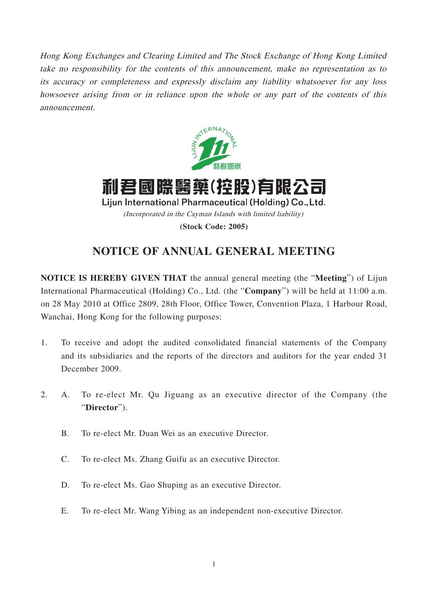Hong Kong Exchanges and Clearing Limited and The Stock Exchange of Hong Kong Limited take no responsibility for the contents of this announcement, make no representation as to its accuracy or completeness and expressly disclaim any liability whatsoever for any loss howsoever arising from or in reliance upon the whole or any part of the contents of this announcement.



利君國際醫藥(控股)有限公司 Lijun International Pharmaceutical (Holding) Co., Ltd. (Incorporated in the Cayman Islands with limited liability) **(Stock Code: 2005)**

# **NOTICE OF ANNUAL GENERAL MEETING**

**NOTICE IS HEREBY GIVEN THAT** the annual general meeting (the "**Meeting**") of Lijun International Pharmaceutical (Holding) Co., Ltd. (the "**Company**") will be held at 11:00 a.m. on 28 May 2010 at Office 2809, 28th Floor, Office Tower, Convention Plaza, 1 Harbour Road, Wanchai, Hong Kong for the following purposes:

- 1. To receive and adopt the audited consolidated financial statements of the Company and its subsidiaries and the reports of the directors and auditors for the year ended 31 December 2009.
- 2. A. To re-elect Mr. Qu Jiguang as an executive director of the Company (the "**Director**").
	- B. To re-elect Mr. Duan Wei as an executive Director.
	- C. To re-elect Ms. Zhang Guifu as an executive Director.
	- D. To re-elect Ms. Gao Shuping as an executive Director.
	- E. To re-elect Mr. Wang Yibing as an independent non-executive Director.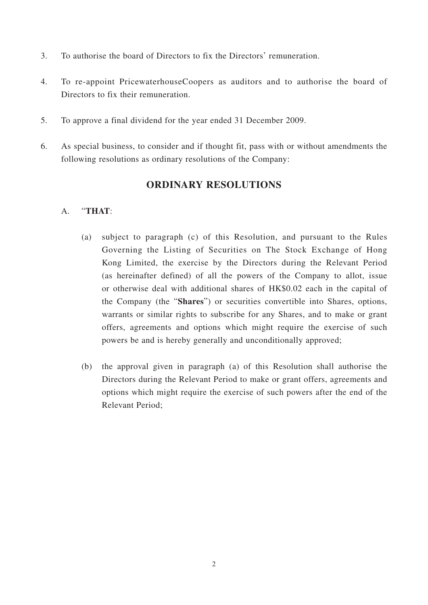- 3. To authorise the board of Directors to fix the Directors' remuneration.
- 4. To re-appoint PricewaterhouseCoopers as auditors and to authorise the board of Directors to fix their remuneration.
- 5. To approve a final dividend for the year ended 31 December 2009.
- 6. As special business, to consider and if thought fit, pass with or without amendments the following resolutions as ordinary resolutions of the Company:

## **ORDINARY RESOLUTIONS**

### A. "**THAT**:

- (a) subject to paragraph (c) of this Resolution, and pursuant to the Rules Governing the Listing of Securities on The Stock Exchange of Hong Kong Limited, the exercise by the Directors during the Relevant Period (as hereinafter defined) of all the powers of the Company to allot, issue or otherwise deal with additional shares of HK\$0.02 each in the capital of the Company (the "**Shares**") or securities convertible into Shares, options, warrants or similar rights to subscribe for any Shares, and to make or grant offers, agreements and options which might require the exercise of such powers be and is hereby generally and unconditionally approved;
- (b) the approval given in paragraph (a) of this Resolution shall authorise the Directors during the Relevant Period to make or grant offers, agreements and options which might require the exercise of such powers after the end of the Relevant Period;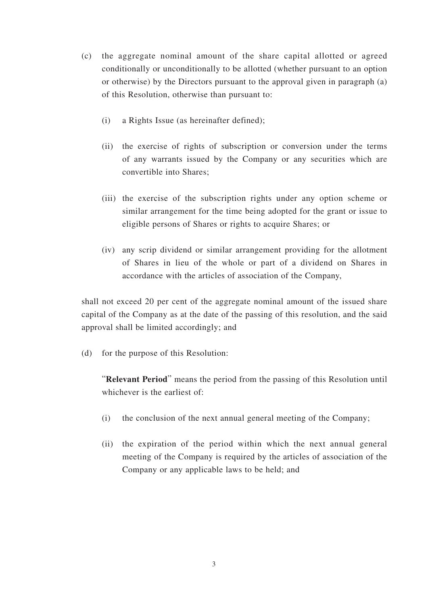- (c) the aggregate nominal amount of the share capital allotted or agreed conditionally or unconditionally to be allotted (whether pursuant to an option or otherwise) by the Directors pursuant to the approval given in paragraph (a) of this Resolution, otherwise than pursuant to:
	- (i) a Rights Issue (as hereinafter defined);
	- (ii) the exercise of rights of subscription or conversion under the terms of any warrants issued by the Company or any securities which are convertible into Shares;
	- (iii) the exercise of the subscription rights under any option scheme or similar arrangement for the time being adopted for the grant or issue to eligible persons of Shares or rights to acquire Shares; or
	- (iv) any scrip dividend or similar arrangement providing for the allotment of Shares in lieu of the whole or part of a dividend on Shares in accordance with the articles of association of the Company,

shall not exceed 20 per cent of the aggregate nominal amount of the issued share capital of the Company as at the date of the passing of this resolution, and the said approval shall be limited accordingly; and

(d) for the purpose of this Resolution:

"**Relevant Period**" means the period from the passing of this Resolution until whichever is the earliest of:

- (i) the conclusion of the next annual general meeting of the Company;
- (ii) the expiration of the period within which the next annual general meeting of the Company is required by the articles of association of the Company or any applicable laws to be held; and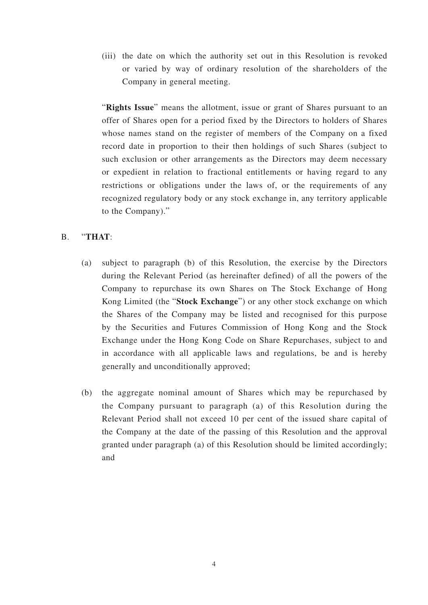(iii) the date on which the authority set out in this Resolution is revoked or varied by way of ordinary resolution of the shareholders of the Company in general meeting.

"**Rights Issue**" means the allotment, issue or grant of Shares pursuant to an offer of Shares open for a period fixed by the Directors to holders of Shares whose names stand on the register of members of the Company on a fixed record date in proportion to their then holdings of such Shares (subject to such exclusion or other arrangements as the Directors may deem necessary or expedient in relation to fractional entitlements or having regard to any restrictions or obligations under the laws of, or the requirements of any recognized regulatory body or any stock exchange in, any territory applicable to the Company)."

### B. "**THAT**:

- (a) subject to paragraph (b) of this Resolution, the exercise by the Directors during the Relevant Period (as hereinafter defined) of all the powers of the Company to repurchase its own Shares on The Stock Exchange of Hong Kong Limited (the "**Stock Exchange**") or any other stock exchange on which the Shares of the Company may be listed and recognised for this purpose by the Securities and Futures Commission of Hong Kong and the Stock Exchange under the Hong Kong Code on Share Repurchases, subject to and in accordance with all applicable laws and regulations, be and is hereby generally and unconditionally approved;
- (b) the aggregate nominal amount of Shares which may be repurchased by the Company pursuant to paragraph (a) of this Resolution during the Relevant Period shall not exceed 10 per cent of the issued share capital of the Company at the date of the passing of this Resolution and the approval granted under paragraph (a) of this Resolution should be limited accordingly; and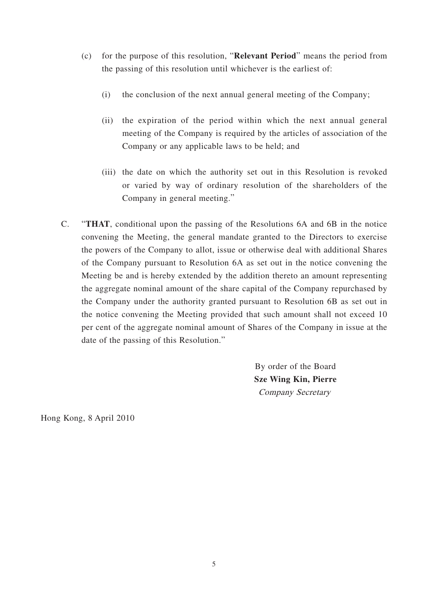- (c) for the purpose of this resolution, "**Relevant Period**" means the period from the passing of this resolution until whichever is the earliest of:
	- (i) the conclusion of the next annual general meeting of the Company;
	- (ii) the expiration of the period within which the next annual general meeting of the Company is required by the articles of association of the Company or any applicable laws to be held; and
	- (iii) the date on which the authority set out in this Resolution is revoked or varied by way of ordinary resolution of the shareholders of the Company in general meeting."
- C. "**THAT**, conditional upon the passing of the Resolutions 6A and 6B in the notice convening the Meeting, the general mandate granted to the Directors to exercise the powers of the Company to allot, issue or otherwise deal with additional Shares of the Company pursuant to Resolution 6A as set out in the notice convening the Meeting be and is hereby extended by the addition thereto an amount representing the aggregate nominal amount of the share capital of the Company repurchased by the Company under the authority granted pursuant to Resolution 6B as set out in the notice convening the Meeting provided that such amount shall not exceed 10 per cent of the aggregate nominal amount of Shares of the Company in issue at the date of the passing of this Resolution."

By order of the Board **Sze Wing Kin, Pierre** Company Secretary

Hong Kong, 8 April 2010